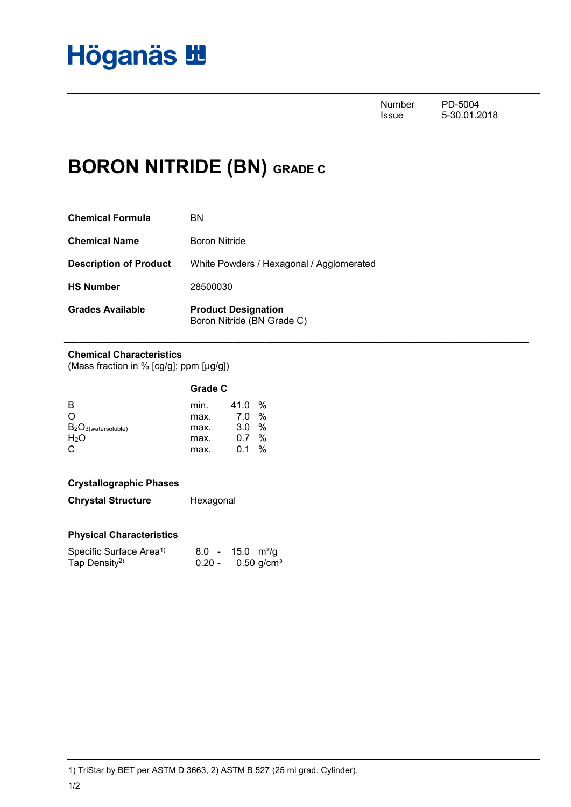

Number PD-5004<br>Issue 5-30.01.2 5-30.01.2018

## **BORON NITRIDE (BN) GRADE C**

| BN                                                       |
|----------------------------------------------------------|
| Boron Nitride                                            |
| White Powders / Hexagonal / Agglomerated                 |
| 28500030                                                 |
| <b>Product Designation</b><br>Boron Nitride (BN Grade C) |
|                                                          |

**\_\_\_\_\_\_\_\_\_\_\_\_\_\_\_\_\_\_\_\_\_\_\_\_\_\_\_\_\_\_\_\_\_\_\_\_\_\_\_\_\_\_\_\_\_\_\_\_\_\_\_\_\_\_\_\_\_\_\_\_\_\_\_\_\_\_\_\_\_\_\_\_\_\_\_\_\_\_\_\_\_\_\_\_\_\_\_\_**

#### **Chemical Characteristics**

(Mass fraction in % [cg/g]; ppm [µg/g])

| min. | 41.0 | %       |
|------|------|---------|
| max. | 7.0  | %       |
| max. | 3.0  | %       |
| max. | 0.7  | %       |
| max. | 01   | %       |
|      |      | Grade C |

### **Crystallographic Phases**

**Chrystal Structure** Hexagonal

### **Physical Characteristics**

| Specific Surface Area <sup>1)</sup> |          | $8.0 - 15.0 \text{ m}^2/\text{g}$ |
|-------------------------------------|----------|-----------------------------------|
| Tap Density <sup>2)</sup>           | $0.20 -$ | $0.50$ g/cm <sup>3</sup>          |